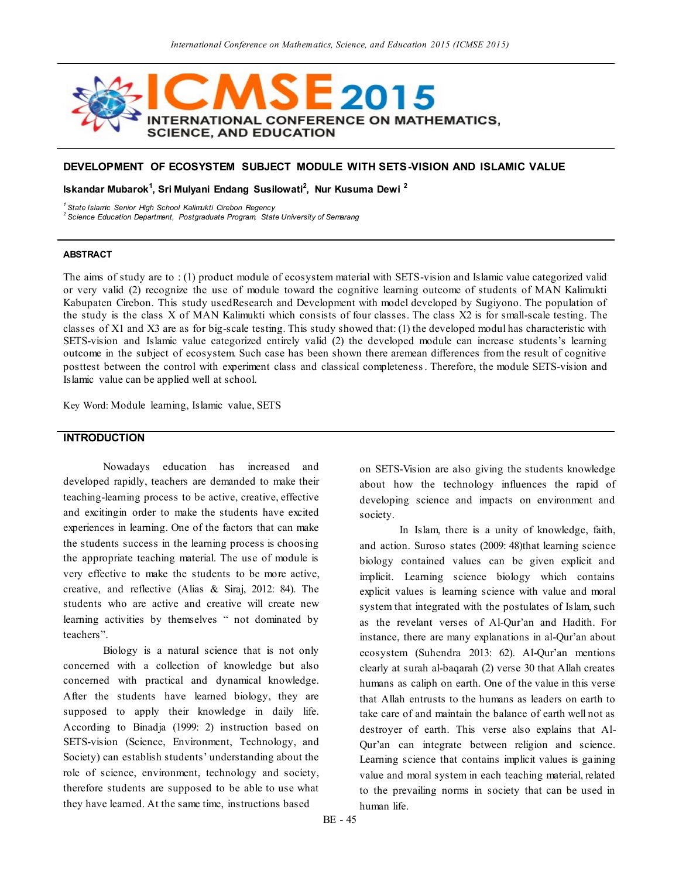

## **DEVELOPMENT OF ECOSYSTEM SUBJECT MODULE WITH SETS-VISION AND ISLAMIC VALUE**

**Iskandar Mubarok<sup>1</sup> , Sri Mulyani Endang Susilowati<sup>2</sup> , Nur Kusuma Dewi <sup>2</sup>**

*<sup>1</sup>State Islamic Senior High School Kalimukti Cirebon Regency*

*<sup>2</sup>Science Education Department, Postgraduate Program, State University of Semarang*

#### **ABSTRACT**

The aims of study are to : (1) product module of ecosystem material with SETS-vision and Islamic value categorized valid or very valid (2) recognize the use of module toward the cognitive learning outcome of students of MAN Kalimukti Kabupaten Cirebon. This study usedResearch and Development with model developed by Sugiyono. The population of the study is the class X of MAN Kalimukti which consists of four classes. The class X2 is for small-scale testing. The classes of X1 and X3 are as for big-scale testing. This study showed that: (1) the developed modul has characteristic with SETS-vision and Islamic value categorized entirely valid (2) the developed module can increase students's learning outcome in the subject of ecosystem. Such case has been shown there aremean differences from the result of cognitive posttest between the control with experiment class and classical completeness. Therefore, the module SETS-vision and Islamic value can be applied well at school.

Key Word: Module learning, Islamic value, SETS

### **INTRODUCTION**

Nowadays education has increased and developed rapidly, teachers are demanded to make their teaching-learning process to be active, creative, effective and excitingin order to make the students have excited experiences in learning. One of the factors that can make the students success in the learning process is choosing the appropriate teaching material. The use of module is very effective to make the students to be more active, creative, and reflective (Alias & Siraj, 2012: 84). The students who are active and creative will create new learning activities by themselves " not dominated by teachers".

Biology is a natural science that is not only concerned with a collection of knowledge but also concerned with practical and dynamical knowledge. After the students have learned biology, they are supposed to apply their knowledge in daily life. According to Binadja (1999: 2) instruction based on SETS-vision (Science, Environment, Technology, and Society) can establish students' understanding about the role of science, environment, technology and society, therefore students are supposed to be able to use what they have learned. At the same time, instructions based

on SETS-Vision are also giving the students knowledge about how the technology influences the rapid of developing science and impacts on environment and society.

In Islam, there is a unity of knowledge, faith, and action. Suroso states (2009: 48)that learning science biology contained values can be given explicit and implicit. Learning science biology which contains explicit values is learning science with value and moral system that integrated with the postulates of Islam, such as the revelant verses of Al-Qur'an and Hadith. For instance, there are many explanations in al-Qur'an about ecosystem (Suhendra 2013: 62). Al-Qur'an mentions clearly at surah al-baqarah (2) verse 30 that Allah creates humans as caliph on earth. One of the value in this verse that Allah entrusts to the humans as leaders on earth to take care of and maintain the balance of earth well not as destroyer of earth. This verse also explains that Al-Qur'an can integrate between religion and science. Learning science that contains implicit values is gaining value and moral system in each teaching material, related to the prevailing norms in society that can be used in human life.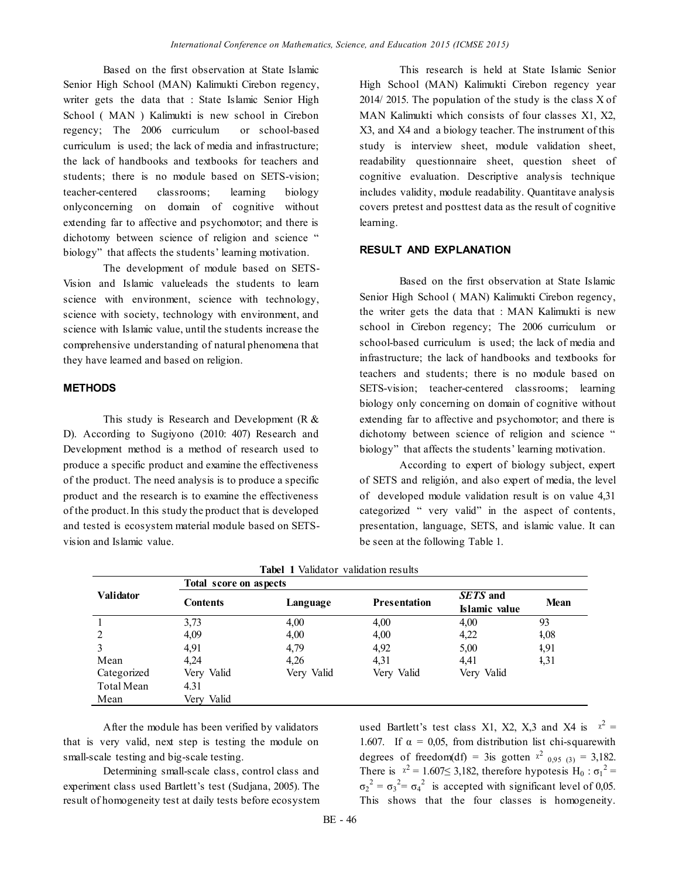Based on the first observation at State Islamic Senior High School (MAN) Kalimukti Cirebon regency, writer gets the data that : State Islamic Senior High School ( MAN ) Kalimukti is new school in Cirebon regency; The 2006 curriculum or school-based curriculum is used; the lack of media and infrastructure; the lack of handbooks and textbooks for teachers and students; there is no module based on SETS-vision; teacher-centered classrooms; learning biology onlyconcerning on domain of cognitive without extending far to affective and psychomotor; and there is dichotomy between science of religion and science " biology" that affects the students' learning motivation.

The development of module based on SETS-Vision and Islamic valueleads the students to learn science with environment, science with technology, science with society, technology with environment, and science with Islamic value, until the students increase the comprehensive understanding of natural phenomena that they have learned and based on religion.

### **METHODS**

This study is Research and Development ( $R \&$ D). According to Sugiyono (2010: 407) Research and Development method is a method of research used to produce a specific product and examine the effectiveness of the product. The need analysis is to produce a specific product and the research is to examine the effectiveness of the product. In this study the product that is developed and tested is ecosystem material module based on SETSvision and Islamic value.

This research is held at State Islamic Senior High School (MAN) Kalimukti Cirebon regency year 2014/ 2015. The population of the study is the class X of MAN Kalimukti which consists of four classes X1, X2, X3, and X4 and a biology teacher. The instrument of this study is interview sheet, module validation sheet, readability questionnaire sheet, question sheet of cognitive evaluation. Descriptive analysis technique includes validity, module readability. Quantitave analysis covers pretest and posttest data as the result of cognitive learning.

### **RESULT AND EXPLANATION**

Based on the first observation at State Islamic Senior High School ( MAN) Kalimukti Cirebon regency, the writer gets the data that : MAN Kalimukti is new school in Cirebon regency; The 2006 curriculum or school-based curriculum is used; the lack of media and infrastructure; the lack of handbooks and textbooks for teachers and students; there is no module based on SETS-vision; teacher-centered classrooms; learning biology only concerning on domain of cognitive without extending far to affective and psychomotor; and there is dichotomy between science of religion and science " biology" that affects the students' learning motivation.

According to expert of biology subject, expert of SETS and religión, and also expert of media, the level of developed module validation result is on value 4,31 categorized " very valid" in the aspect of contents, presentation, language, SETS, and islamic value. It can be seen at the following Table 1.

|                  |                 | Tabel 1 Tangucol Tangucoli iyo alo |                     |                           |      |  |  |  |  |  |  |
|------------------|-----------------|------------------------------------|---------------------|---------------------------|------|--|--|--|--|--|--|
|                  |                 | Total score on aspects             |                     |                           |      |  |  |  |  |  |  |
| <b>Validator</b> | <b>Contents</b> | Language                           | <b>Presentation</b> | SETS and<br>Islamic value | Mean |  |  |  |  |  |  |
|                  | 3,73            | 4,00                               | 4,00                | 4,00                      | 93   |  |  |  |  |  |  |
| 2                | 4,09            | 4,00                               | 4,00                | 4,22                      | 4,08 |  |  |  |  |  |  |
| 3                | 4,91            | 4,79                               | 4,92                | 5,00                      | 1,91 |  |  |  |  |  |  |
| Mean             | 4.24            | 4.26                               | 4,31                | 4.41                      | 1,31 |  |  |  |  |  |  |
| Categorized      | Very Valid      | Very Valid                         | Very Valid          | Very Valid                |      |  |  |  |  |  |  |
| Total Mean       | 4.31            |                                    |                     |                           |      |  |  |  |  |  |  |
| Mean             | Very Valid      |                                    |                     |                           |      |  |  |  |  |  |  |

| Tabel 1 Validator validation results |  |
|--------------------------------------|--|
|--------------------------------------|--|

After the module has been verified by validators that is very valid, next step is testing the module on small-scale testing and big-scale testing.

Determining small-scale class, control class and experiment class used Bartlett's test (Sudjana, 2005). The result of homogeneity test at daily tests before ecosystem

used Bartlett's test class X1, X2, X,3 and X4 is  $x^2 =$ 1.607. If  $\alpha = 0.05$ , from distribution list chi-squarewith degrees of freedom(df) = 3is gotten  $x^2$  <sub>0,95 (3)</sub> = 3,182. There is  $x^2 = 1.607 \le 3,182$ , therefore hypotesis H<sub>0</sub> :  $\sigma_1^2$  =  $\sigma_2^2 = \sigma_3^2 = \sigma_4^2$  is accepted with significant level of 0,05. This shows that the four classes is homogeneity.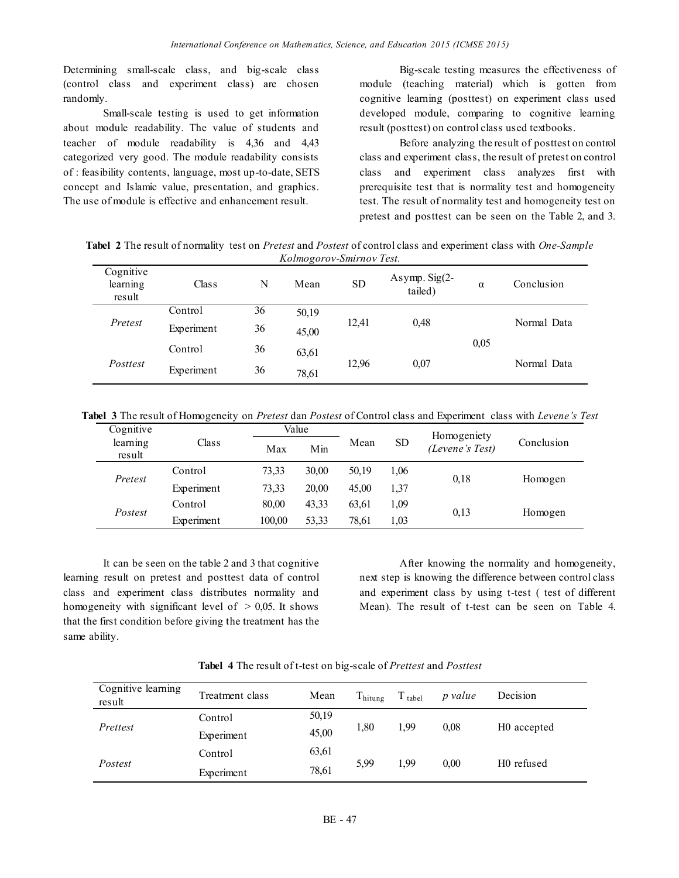Determining small-scale class, and big-scale class (control class and experiment class) are chosen randomly.

Small-scale testing is used to get information about module readability. The value of students and teacher of module readability is 4,36 and 4,43 categorized very good. The module readability consists of : feasibility contents, language, most up-to-date, SETS concept and Islamic value, presentation, and graphics. The use of module is effective and enhancement result.

Big-scale testing measures the effectiveness of module (teaching material) which is gotten from cognitive learning (posttest) on experiment class used developed module, comparing to cognitive learning result (posttest) on control class used textbooks.

Before analyzing the result of posttest on control class and experiment class, the result of pretest on control class and experiment class analyzes first with prerequisite test that is normality test and homogeneity test. The result of normality test and homogeneity test on pretest and posttest can be seen on the Table 2, and 3.

**Tabel 2** The result of normality test on *Pretest* and *Postest* of control class and experiment class with *One-Sample Kolmogorov-Smirnov Test.*

| Cognitive<br>learning<br>result | Class      | N  | Mean  | <b>SD</b> | Asymp. $Sig(2-$<br>tailed) | $\alpha$ | Conclusion  |  |
|---------------------------------|------------|----|-------|-----------|----------------------------|----------|-------------|--|
| Pretest                         | Control    | 36 | 50,19 |           |                            |          | Normal Data |  |
|                                 | Experiment | 36 | 45,00 | 12,41     | 0,48                       |          |             |  |
| Posttest                        | Control    | 36 | 63,61 |           |                            | 0.05     |             |  |
|                                 | Experiment | 36 | 78,61 | 12,96     | 0,07                       |          | Normal Data |  |

**Tabel 3** The result of Homogeneity on *Pretest* dan *Postest* of Control class and Experiment class with *Levene's Test*

| Cognitive          |            |        | Value |       |           | Homogeniety     |            |  |
|--------------------|------------|--------|-------|-------|-----------|-----------------|------------|--|
| learning<br>result | Class      | Max    | Min   | Mean  | <b>SD</b> | (Levene's Test) | Conclusion |  |
| Pretest            | Control    | 73,33  | 30,00 | 50,19 | 1,06      | 0.18            | Homogen    |  |
|                    | Experiment | 73,33  | 20.00 | 45.00 | 1,37      |                 |            |  |
| Postest            | Control    | 80,00  | 43,33 | 63,61 | 1,09      |                 |            |  |
|                    | Experiment | 100.00 | 53.33 | 78.61 | 1,03      | 0.13            | Homogen    |  |

It can be seen on the table 2 and 3 that cognitive learning result on pretest and posttest data of control class and experiment class distributes normality and homogeneity with significant level of  $> 0.05$ . It shows that the first condition before giving the treatment has the same ability.

After knowing the normality and homogeneity, next step is knowing the difference between control class and experiment class by using t-test ( test of different Mean). The result of t-test can be seen on Table 4.

**Tabel 4** The result of t-test on big-scale of *Prettest* and *Posttest*

| Cognitive learning<br>result | Treatment class | Mean  | $T_{\text{hitung}}$ | $T_{\text{ table1}}$ | p value | Decision                |  |
|------------------------------|-----------------|-------|---------------------|----------------------|---------|-------------------------|--|
|                              | Control         | 50,19 | 1,80                | 1,99                 | 0.08    |                         |  |
| Prettest                     | Experiment      | 45,00 |                     |                      |         | H <sub>0</sub> accepted |  |
|                              | Control         | 63,61 | 5,99                |                      | 0.00    |                         |  |
| Postest                      | Experiment      | 78,61 |                     | 1,99                 |         | H <sub>0</sub> refused  |  |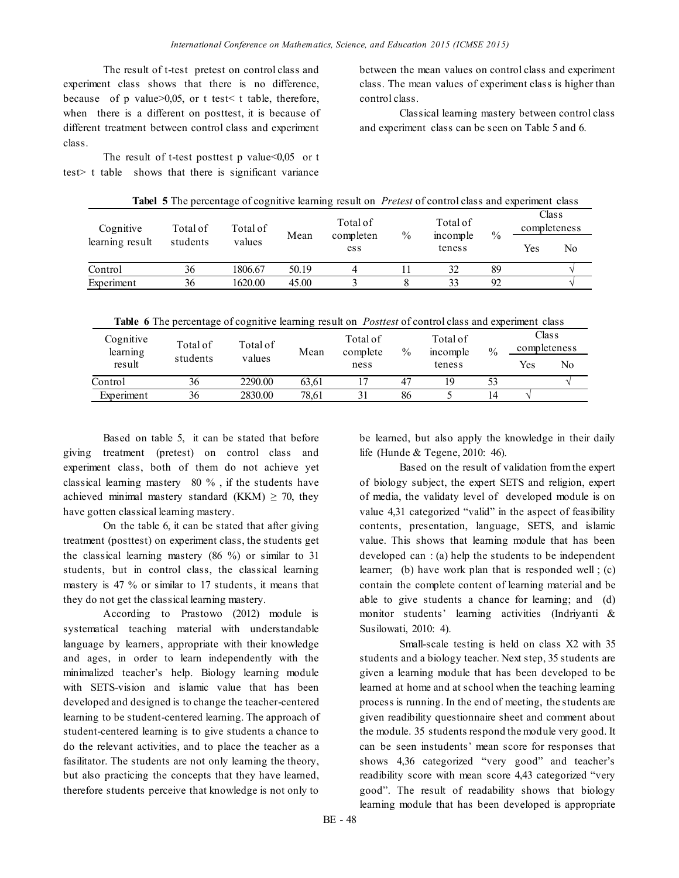The result of t-test pretest on control class and experiment class shows that there is no difference, because of p value>0,05, or t test< t table, therefore, when there is a different on posttest, it is because of different treatment between control class and experiment class.

The result of t-test posttest p value $<0,05$  or t test> t table shows that there is significant variance between the mean values on control class and experiment class. The mean values of experiment class is higher than control class.

Classical learning mastery between control class and experiment class can be seen on Table 5 and 6.

| Cognitive<br>learning result | Total of | Total of<br>values |       | Total of         |      | Total of<br>incomple<br>teness | $\frac{0}{0}$ | Class<br>completeness |    |
|------------------------------|----------|--------------------|-------|------------------|------|--------------------------------|---------------|-----------------------|----|
|                              | students |                    | Mean  | completen<br>ess | $\%$ |                                |               | Yes                   | No |
| Control                      | 36       | 1806.67            | 50.19 |                  |      | 32                             | 89            |                       |    |
| Experiment                   | 36       | 1620.00            | 45.00 |                  |      | 33                             | 92            |                       |    |

**Tabel 5** The percentage of cognitive learning result on *Pretest* of control class and experiment class

**Table 6** The percentage of cognitive learning result on *Posttest* of control class and experiment class

| Cognitive<br>learning<br>result | Total of<br>students | Total of<br>values | Mean  | Total of<br>complete<br>ness | $\frac{0}{0}$ | Total of<br>mcomple<br>teness | $\frac{0}{0}$ | Class<br>completeness |    |
|---------------------------------|----------------------|--------------------|-------|------------------------------|---------------|-------------------------------|---------------|-----------------------|----|
|                                 |                      |                    |       |                              |               |                               |               | Yes                   | No |
| Control                         | 36                   | 2290.00            | 63.61 |                              | 47            | 19                            | 53            |                       |    |
| Experiment                      | 36                   | 2830.00            | 78.61 | ◠                            | 86            |                               | 14            |                       |    |

Based on table 5, it can be stated that before giving treatment (pretest) on control class and experiment class, both of them do not achieve yet classical learning mastery 80 % , if the students have achieved minimal mastery standard (KKM)  $\geq$  70, they have gotten classical learning mastery.

On the table 6, it can be stated that after giving treatment (posttest) on experiment class, the students get the classical learning mastery (86 %) or similar to 31 students, but in control class, the classical learning mastery is 47 % or similar to 17 students, it means that they do not get the classical learning mastery.

According to Prastowo (2012) module is systematical teaching material with understandable language by learners, appropriate with their knowledge and ages, in order to learn independently with the minimalized teacher's help. Biology learning module with SETS-vision and islamic value that has been developed and designed is to change the teacher-centered learning to be student-centered learning. The approach of student-centered learning is to give students a chance to do the relevant activities, and to place the teacher as a fasilitator. The students are not only learning the theory, but also practicing the concepts that they have learned, therefore students perceive that knowledge is not only to

be learned, but also apply the knowledge in their daily life (Hunde & Tegene, 2010: 46).

Based on the result of validation from the expert of biology subject, the expert SETS and religion, expert of media, the validaty level of developed module is on value 4,31 categorized "valid" in the aspect of feasibility contents, presentation, language, SETS, and islamic value. This shows that learning module that has been developed can : (a) help the students to be independent learner; (b) have work plan that is responded well ; (c) contain the complete content of learning material and be able to give students a chance for learning; and (d) monitor students' learning activities (Indriyanti & Susilowati, 2010: 4).

Small-scale testing is held on class X2 with 35 students and a biology teacher. Next step, 35 students are given a learning module that has been developed to be learned at home and at school when the teaching learning process is running. In the end of meeting, the students are given readibility questionnaire sheet and comment about the module. 35 students respond the module very good. It can be seen instudents' mean score for responses that shows 4,36 categorized "very good" and teacher's readibility score with mean score 4,43 categorized "very good". The result of readability shows that biology learning module that has been developed is appropriate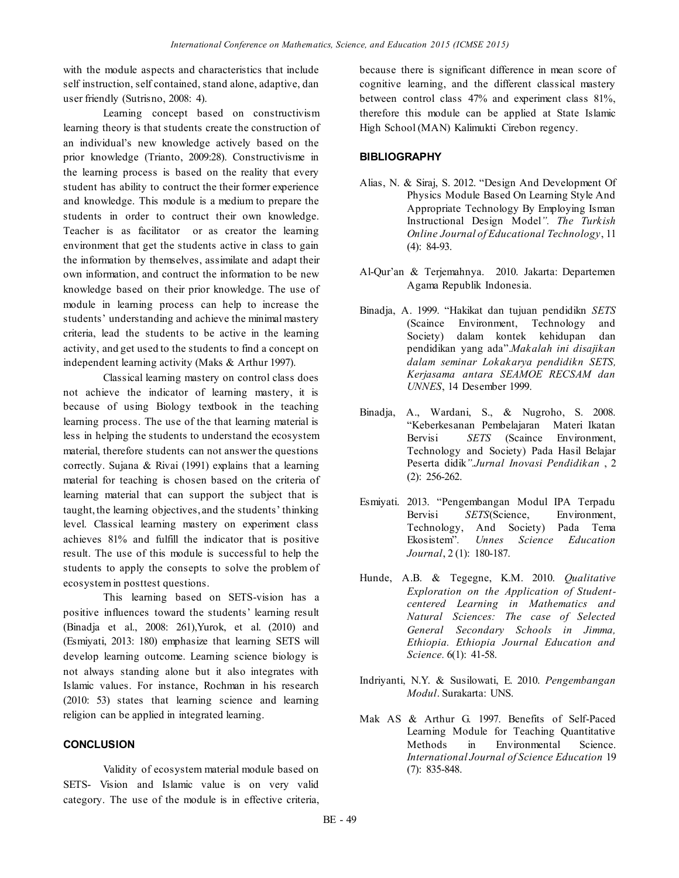with the module aspects and characteristics that include self instruction, self contained, stand alone, adaptive, dan user friendly (Sutrisno, 2008: 4).

Learning concept based on constructivism learning theory is that students create the construction of an individual's new knowledge actively based on the prior knowledge (Trianto, 2009:28). Constructivisme in the learning process is based on the reality that every student has ability to contruct the their former experience and knowledge. This module is a medium to prepare the students in order to contruct their own knowledge. Teacher is as facilitator or as creator the learning environment that get the students active in class to gain the information by themselves, assimilate and adapt their own information, and contruct the information to be new knowledge based on their prior knowledge. The use of module in learning process can help to increase the students' understanding and achieve the minimal mastery criteria, lead the students to be active in the learning activity, and get used to the students to find a concept on independent learning activity (Maks & Arthur 1997).

Classical learning mastery on control class does not achieve the indicator of learning mastery, it is because of using Biology textbook in the teaching learning process. The use of the that learning material is less in helping the students to understand the ecosystem material, therefore students can not answer the questions correctly. Sujana & Rivai (1991) explains that a learning material for teaching is chosen based on the criteria of learning material that can support the subject that is taught, the learning objectives, and the students' thinking level. Classical learning mastery on experiment class achieves 81% and fulfill the indicator that is positive result. The use of this module is successful to help the students to apply the consepts to solve the problem of ecosystem in posttest questions.

This learning based on SETS-vision has a positive influences toward the students' learning result (Binadja et al., 2008: 261),Yurok, et al. (2010) and (Esmiyati, 2013: 180) emphasize that learning SETS will develop learning outcome. Learning science biology is not always standing alone but it also integrates with Islamic values. For instance, Rochman in his research (2010: 53) states that learning science and learning religion can be applied in integrated learning.

# **CONCLUSION**

Validity of ecosystem material module based on SETS- Vision and Islamic value is on very valid category. The use of the module is in effective criteria, because there is significant difference in mean score of cognitive learning, and the different classical mastery between control class 47% and experiment class 81%, therefore this module can be applied at State Islamic High School (MAN) Kalimukti Cirebon regency.

# **BIBLIOGRAPHY**

- Alias, N. & Siraj, S. 2012. "Design And Development Of Physics Module Based On Learning Style And Appropriate Technology By Employing Isman Instructional Design Model*". The Turkish Online Journal of Educational Technology*, 11 (4): 84-93.
- Al-Qur'an & Terjemahnya. 2010. Jakarta: Departemen Agama Republik Indonesia.
- Binadja, A. 1999. "Hakikat dan tujuan pendidikn *SETS* (Scaince Environment, Technology and Society) dalam kontek kehidupan dan pendidikan yang ada".*Makalah ini disajikan dalam seminar Lokakarya pendidikn SETS, Kerjasama antara SEAMOE RECSAM dan UNNES*, 14 Desember 1999.
- Binadja, A., Wardani, S., & Nugroho, S. 2008. "Keberkesanan Pembelajaran Materi Ikatan Bervisi *SETS* (Scaince Environment, Technology and Society) Pada Hasil Belajar Peserta didik*".Jurnal Inovasi Pendidikan* , 2 (2): 256-262.
- Esmiyati. 2013. "Pengembangan Modul IPA Terpadu Bervisi *SETS*(Science, Environment, Technology, And Society) Pada Tema Ekosistem"*. Unnes Science Education Journal*, 2 (1): 180-187.
- Hunde, A.B. & Tegegne, K.M. 2010. *Qualitative Exploration on the Application of Studentcentered Learning in Mathematics and Natural Sciences: The case of Selected General Secondary Schools in Jimma, Ethiopia. Ethiopia Journal Education and Science.* 6(1): 41-58.
- Indriyanti, N.Y. & Susilowati, E. 2010. *Pengembangan Modul*. Surakarta: UNS.
- Mak AS & Arthur G. 1997. Benefits of Self-Paced Learning Module for Teaching Quantitative Methods in Environmental Science. *International Journal of Science Education* 19 (7): 835-848.